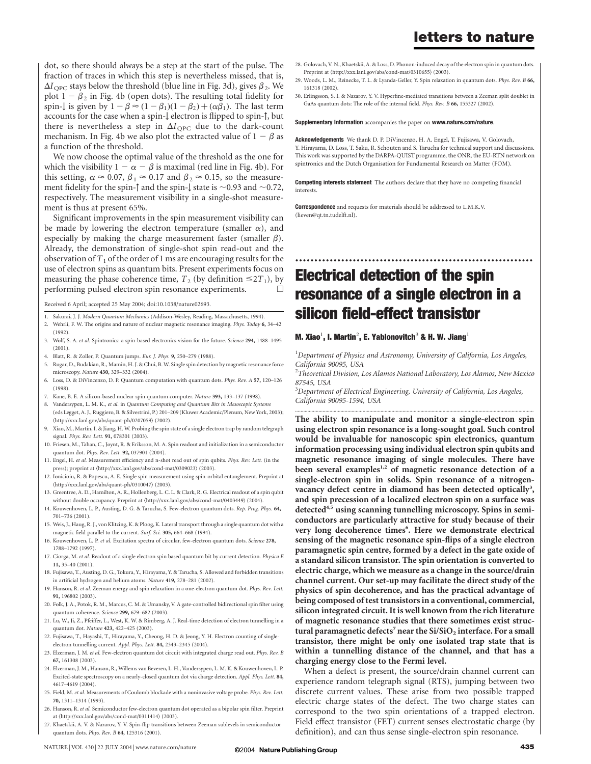# letters to nature

dot, so there should always be a step at the start of the pulse. The fraction of traces in which this step is nevertheless missed, that is,  $\Delta I_{\text{OPC}}$  stays below the threshold (blue line in Fig. 3d), gives  $\beta_2$ . We plot  $1 - \beta_2$  in Fig. 4b (open dots). The resulting total fidelity for spin- $\downarrow$  is given by  $1 - \beta \approx (1 - \beta_1)(1 - \beta_2) + (\alpha \beta_1)$ . The last term accounts for the case when a spin- $\downarrow$  electron is flipped to spin- $\uparrow$ , but there is nevertheless a step in  $\Delta I_{\text{QPC}}$  due to the dark-count mechanism. In Fig. 4b we also plot the extracted value of  $1 - \beta$  as a function of the threshold.

We now choose the optimal value of the threshold as the one for which the visibility  $1 - \alpha - \beta$  is maximal (red line in Fig. 4b). For this setting,  $\alpha \approx 0.07$ ,  $\beta_1 \approx 0.17$  and  $\beta_2 \approx 0.15$ , so the measurement fidelity for the spin- $\uparrow$  and the spin- $\downarrow$  state is  $\sim$  0.93 and  $\sim$  0.72, respectively. The measurement visibility in a single-shot measurement is thus at present 65%.

Significant improvements in the spin measurement visibility can be made by lowering the electron temperature (smaller  $\alpha$ ), and especially by making the charge measurement faster (smaller  $\beta$ ). Already, the demonstration of single-shot spin read-out and the observation of  $T_1$  of the order of 1 ms are encouraging results for the use of electron spins as quantum bits. Present experiments focus on measuring the phase coherence time,  $T_2$  (by definition  $\leq 2T_1$ ), by performing pulsed electron spin resonance experiments performing pulsed electron spin resonance experiments.

Received 6 April; accepted 25 May 2004; doi:10.1038/nature02693.

- 1. Sakurai, J. J. Modern Quantum Mechanics (Addison-Wesley, Reading, Massachusetts, 1994). 2. Wehrli, F. W. The origins and nature of nuclear magnetic resonance imaging. Phys. Today 6, 34–42
- (1992). 3. Wolf, S. A. et al. Spintronics: a spin-based electronics vision for the future. Science 294, 1488–1495 (2001).
- 4. Blatt, R. & Zoller, P. Quantum jumps. Eur. J. Phys. 9, 250–279 (1988).
- 5. Rugar, D., Budakian, R., Mamin, H. J. & Chui, B. W. Single spin detection by magnetic resonance force microscopy. Nature 430, 329–332 (2004).
- 6. Loss, D. & DiVincenzo, D. P. Quantum computation with quantum dots. Phys. Rev. A 57, 120–126 (1998).
- Kane, B. E. A silicon-based nuclear spin quantum computer. Nature 393, 133-137 (1998).
- 8. Vandersypen, L. M. K., et al. in Quantum Computing and Quantum Bits in Mesoscopic Systems
- (eds Legget, A. J., Ruggiero, B. & Silvestrini, P.) 201–209 (Kluwer Academic/Plenum, New York, 2003);  $\langle$ http://xxx.lanl.gov/abs/quant-ph/0207059 $\rangle$  (2002).
- 9. Xiao, M., Martin, I. & Jiang, H. W. Probing the spin state of a single electron trap by random telegraph signal. Phys. Rev. Lett. 91, 078301 (2003).
- 10. Friesen, M., Tahan, C., Joynt, R. & Eriksson, M. A. Spin readout and initialization in a semiconductor quantum dot. Phys. Rev. Lett. 92, 037901 (2004).
- 11. Engel, H. et al. Measurement efficiency and n-shot read out of spin qubits. Phys. Rev. Lett. (in the press); preprint at  $\langle$ http://xxx.lanl.gov/abs/cond-mat/0309023 $\rangle$  (2003).
- 12. Ionicioiu, R. & Popescu, A. E. Single spin measurement using spin-orbital entanglement. Preprint at  $\langle$ http://xxx.lanl.gov/abs/quant-ph/0310047 $\rangle$  (2003).
- 13. Greentree, A. D., Hamilton, A. R., Hollenberg, L. C. L. & Clark, R. G. Electrical readout of a spin qubit without double occupancy. Preprint at  $\langle$ http://xxx.lanl.gov/abs/cond-mat/0403449 $\rangle$  (2004).
- 14. Kouwenhoven, L. P., Austing, D. G. & Tarucha, S. Few-electron quantum dots. Rep. Prog. Phys. 64, 701–736 (2001).
- 15. Weis, J., Haug, R. J., von Klitzing, K. & Ploog, K. Lateral transport through a single quantum dot with a magnetic field parallel to the current. Surf. Sci. 305, 664–668 (1994).
- 16. Kouwenhoven, L. P. et al. Excitation spectra of circular, few-electron quantum dots. Science 278, 1788–1792 (1997).
- 17. Ciorga, M. et al. Readout of a single electron spin based quantum bit by current detection. Physica E 11, 35–40 (2001).
- 18. Fujisawa, T., Austing, D. G., Tokura, Y., Hirayama, Y. & Tarucha, S. Allowed and forbidden transitions in artificial hydrogen and helium atoms. Nature 419, 278-281 (2002).
- 19. Hanson, R. et al. Zeeman energy and spin relaxation in a one-electron quantum dot. Phys. Rev. Lett. 91, 196802 (2003).
- 20. Folk, J. A., Potok, R. M., Marcus, C. M. & Umansky, V. A gate-controlled bidirectional spin filter using quantum coherence. Science 299, 679–682 (2003).
- 21. Lu, W., Ji, Z., Pfeiffer, L., West, K. W. & Rimberg, A. J. Real-time detection of electron tunnelling in a quantum dot. Nature 423, 422–425 (2003).
- 22. Fujisawa, T., Hayashi, T., Hirayama, Y., Cheong, H. D. & Jeong, Y. H. Electron counting of singleelectron tunnelling current. Appl. Phys. Lett. 84, 2343–2345 (2004).
- 23. Elzerman, J. M. et al. Few-electron quantum dot circuit with integrated charge read out. Phys. Rev. B 67, 161308 (2003).
- 24. Elzerman, J. M., Hanson, R., Willems van Beveren, L. H., Vandersypen, L. M. K. & Kouwenhoven, L. P. Excited-state spectroscopy on a nearly-closed quantum dot via charge detection. Appl. Phys. Lett. 84, 4617–4619 (2004).
- 25. Field, M. et al. Measurements of Coulomb blockade with a noninvasive voltage probe. Phys. Rev. Lett. 70, 1311–1314 (1993).
- 26. Hanson, R. et al. Semiconductor few-electron quantum dot operated as a bipolar spin filter. Preprint at  $\langle$ http://xxx.lanl.gov/abs/cond-mat/0311414 $\rangle$  (2003).
- 27. Khaetskii, A. V. & Nazarov, Y. V. Spin-flip transitions between Zeeman sublevels in semiconductor quantum dots. *Phys. Rev. B* 64, 125316 (2001).
- 28. Golovach, V. N., Khaetskii, A. & Loss, D. Phonon-induced decay of the electron spin in quantum dots. Preprint at  $\langle$ http://xxx.lanl.gov/abs/cond-mat/0310655 $\rangle$  (2003).
- 29. Woods, L. M., Reinecke, T. L. & Lyanda-Geller, Y. Spin relaxation in quantum dots. Phys. Rev. B 66, 161318 (2002).
- 30. Erlingsson, S. I. & Nazarov, Y. V. Hyperfine-mediated transitions between a Zeeman split doublet in GaAs quantum dots: The role of the internal field. Phys. Rev. B 66, 155327 (2002).

#### Supplementary Information accompanies the paper on www.nature.com/nature.

Acknowledgements We thank D. P. DiVincenzo, H. A. Engel, T. Fujisawa, V. Golovach, Y. Hirayama, D. Loss, T. Saku, R. Schouten and S. Tarucha for technical support and discussions. This work was supported by the DARPA-QUIST programme, the ONR, the EU-RTN network on spintronics and the Dutch Organisation for Fundamental Research on Matter (FOM).

**Competing interests statement** The authors declare that they have no competing financial interests.

**Correspondence** and requests for materials should be addressed to L.M.K.V. (lieven@qt.tn.tudelft.nl).

# Electrical detection of the spin resonance of a single electron in a silicon field-effect transistor

..............................................................

### M. Xiao $^1$ , I. Martin $^2$ , E. Yablonovitch $^3$  & H. W. Jiang $^1$

<sup>1</sup>Department of Physics and Astronomy, University of California, Los Angeles, California 90095, USA

 $^{2}$ Theoretical Division, Los Alamos National Laboratory, Los Alamos, New Mexico 87545, USA

 $^3$ Department of Electrical Engineering, University of California, Los Angeles, California 90095-1594, USA .............................................................................................................................................................................

The ability to manipulate and monitor a single-electron spin using electron spin resonance is a long-sought goal. Such control would be invaluable for nanoscopic spin electronics, quantum information processing using individual electron spin qubits and magnetic resonance imaging of single molecules. There have been several examples<sup>1,2</sup> of magnetic resonance detection of a single-electron spin in solids. Spin resonance of a nitrogenvacancy defect centre in diamond has been detected optically<sup>3</sup>, and spin precession of a localized electron spin on a surface was detected<sup>4,5</sup> using scanning tunnelling microscopy. Spins in semiconductors are particularly attractive for study because of their very long decoherence times<sup>6</sup>. Here we demonstrate electrical sensing of the magnetic resonance spin-flips of a single electron paramagnetic spin centre, formed by a defect in the gate oxide of a standard silicon transistor. The spin orientation is converted to electric charge, which we measure as a change in the source/drain channel current. Our set-up may facilitate the direct study of the physics of spin decoherence, and has the practical advantage of being composed of test transistors in a conventional, commercial, silicon integrated circuit. It is well known from the rich literature of magnetic resonance studies that there sometimes exist structural paramagnetic defects<sup>7</sup> near the  $Si/SiO<sub>2</sub>$  interface. For a small transistor, there might be only one isolated trap state that is within a tunnelling distance of the channel, and that has a charging energy close to the Fermi level.

When a defect is present, the source/drain channel current can experience random telegraph signal (RTS), jumping between two discrete current values. These arise from two possible trapped electric charge states of the defect. The two charge states can correspond to the two spin orientations of a trapped electron. Field effect transistor (FET) current senses electrostatic charge (by definition), and can thus sense single-electron spin resonance.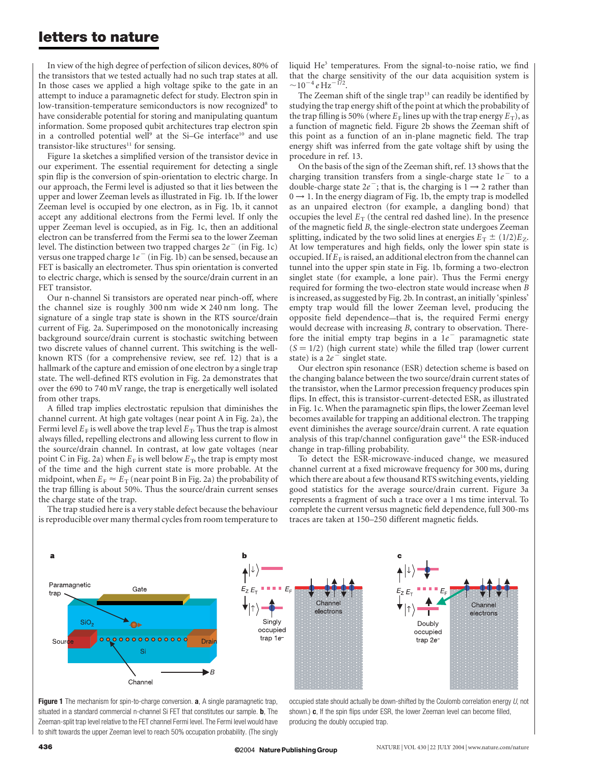## letters to nature

In view of the high degree of perfection of silicon devices, 80% of the transistors that we tested actually had no such trap states at all. In those cases we applied a high voltage spike to the gate in an attempt to induce a paramagnetic defect for study. Electron spin in low-transition-temperature semiconductors is now recognized<sup>8</sup> to have considerable potential for storing and manipulating quantum information. Some proposed qubit architectures trap electron spin in a controlled potential well<sup>9</sup> at the Si-Ge interface<sup>10</sup> and use transistor-like structures $11$  for sensing.

Figure 1a sketches a simplified version of the transistor device in our experiment. The essential requirement for detecting a single spin flip is the conversion of spin-orientation to electric charge. In our approach, the Fermi level is adjusted so that it lies between the upper and lower Zeeman levels as illustrated in Fig. 1b. If the lower Zeeman level is occupied by one electron, as in Fig. 1b, it cannot accept any additional electrons from the Fermi level. If only the upper Zeeman level is occupied, as in Fig. 1c, then an additional electron can be transferred from the Fermi sea to the lower Zeeman level. The distinction between two trapped charges  $2e^-$  (in Fig. 1c) versus one trapped charge  $1e^-$  (in Fig. 1b) can be sensed, because an FET is basically an electrometer. Thus spin orientation is converted to electric charge, which is sensed by the source/drain current in an FET transistor.

Our n-channel Si transistors are operated near pinch-off, where the channel size is roughly  $300 \text{ nm}$  wide  $\times 240 \text{ nm}$  long. The signature of a single trap state is shown in the RTS source/drain current of Fig. 2a. Superimposed on the monotonically increasing background source/drain current is stochastic switching between two discrete values of channel current. This switching is the wellknown RTS (for a comprehensive review, see ref. 12) that is a hallmark of the capture and emission of one electron by a single trap state. The well-defined RTS evolution in Fig. 2a demonstrates that over the 690 to 740 mV range, the trap is energetically well isolated from other traps.

A filled trap implies electrostatic repulsion that diminishes the channel current. At high gate voltages (near point A in Fig. 2a), the Fermi level  $E_F$  is well above the trap level  $E_T$ . Thus the trap is almost always filled, repelling electrons and allowing less current to flow in the source/drain channel. In contrast, at low gate voltages (near point C in Fig. 2a) when  $E_F$  is well below  $E_T$ , the trap is empty most of the time and the high current state is more probable. At the midpoint, when  $E_F \approx E_T$  (near point B in Fig. 2a) the probability of the trap filling is about 50%. Thus the source/drain current senses the charge state of the trap.

The trap studied here is a very stable defect because the behaviour is reproducible over many thermal cycles from room temperature to liquid  $He<sup>3</sup>$  temperatures. From the signal-to-noise ratio, we find that the charge sensitivity of the our data acquisition system is  $\sim$ 10<sup>-4</sup> e Hz<sup>-172</sup>.

The Zeeman shift of the single trap<sup>13</sup> can readily be identified by studying the trap energy shift of the point at which the probability of the trap filling is 50% (where  $E_F$  lines up with the trap energy  $E_T$ ), as a function of magnetic field. Figure 2b shows the Zeeman shift of this point as a function of an in-plane magnetic field. The trap energy shift was inferred from the gate voltage shift by using the procedure in ref. 13.

On the basis of the sign of the Zeeman shift, ref. 13 shows that the charging transition transfers from a single-charge state  $1e^-$  to a double-charge state  $2e^-$ ; that is, the charging is  $1 \rightarrow 2$  rather than  $0 \rightarrow 1$ . In the energy diagram of Fig. 1b, the empty trap is modelled as an unpaired electron (for example, a dangling bond) that occupies the level  $E_T$  (the central red dashed line). In the presence of the magnetic field B, the single-electron state undergoes Zeeman splitting, indicated by the two solid lines at energies  $E_T \pm (1/2)E_Z$ . At low temperatures and high fields, only the lower spin state is occupied. If  $E_F$  is raised, an additional electron from the channel can tunnel into the upper spin state in Fig. 1b, forming a two-electron singlet state (for example, a lone pair). Thus the Fermi energy required for forming the two-electron state would increase when B is increased, as suggested by Fig. 2b. In contrast, an initially 'spinless' empty trap would fill the lower Zeeman level, producing the opposite field dependence—that is, the required Fermi energy would decrease with increasing B, contrary to observation. Therefore the initial empty trap begins in a  $1e^-$  paramagnetic state  $(S = 1/2)$  (high current state) while the filled trap (lower current state) is a  $2e^-$  singlet state.

Our electron spin resonance (ESR) detection scheme is based on the changing balance between the two source/drain current states of the transistor, when the Larmor precession frequency produces spin flips. In effect, this is transistor-current-detected ESR, as illustrated in Fig. 1c. When the paramagnetic spin flips, the lower Zeeman level becomes available for trapping an additional electron. The trapping event diminishes the average source/drain current. A rate equation analysis of this trap/channel configuration gave<sup>14</sup> the ESR-induced change in trap-filling probability.

To detect the ESR-microwave-induced change, we measured channel current at a fixed microwave frequency for 300 ms, during which there are about a few thousand RTS switching events, yielding good statistics for the average source/drain current. Figure 3a represents a fragment of such a trace over a 1 ms time interval. To complete the current versus magnetic field dependence, full 300-ms traces are taken at 150–250 different magnetic fields.



**Figure 1** The mechanism for spin-to-charge conversion. **a**, A single paramagnetic trap, situated in a standard commercial n-channel Si FET that constitutes our sample. **b**, The Zeeman-split trap level relative to the FET channel Fermi level. The Fermi level would have to shift towards the upper Zeeman level to reach 50% occupation probability. (The singly

occupied state should actually be down-shifted by the Coulomb correlation energy  $U$ , not shown.) c, If the spin flips under ESR, the lower Zeeman level can become filled, producing the doubly occupied trap.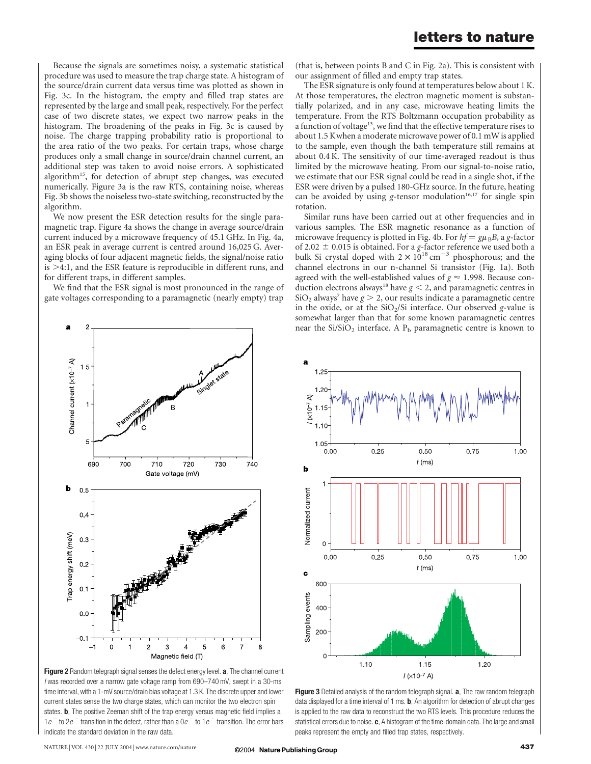Because the signals are sometimes noisy, a systematic statistical procedure was used to measure the trap charge state. A histogram of the source/drain current data versus time was plotted as shown in Fig. 3c. In the histogram, the empty and filled trap states are represented by the large and small peak, respectively. For the perfect case of two discrete states, we expect two narrow peaks in the histogram. The broadening of the peaks in Fig. 3c is caused by noise. The charge trapping probability ratio is proportional to the area ratio of the two peaks. For certain traps, whose charge produces only a small change in source/drain channel current, an additional step was taken to avoid noise errors. A sophisticated algorithm15, for detection of abrupt step changes, was executed numerically. Figure 3a is the raw RTS, containing noise, whereas Fig. 3b shows the noiseless two-state switching, reconstructed by the algorithm.

We now present the ESR detection results for the single paramagnetic trap. Figure 4a shows the change in average source/drain current induced by a microwave frequency of 45.1 GHz. In Fig. 4a, an ESR peak in average current is centred around 16,025 G. Averaging blocks of four adjacent magnetic fields, the signal/noise ratio is  $>4:1$ , and the ESR feature is reproducible in different runs, and for different traps, in different samples.

We find that the ESR signal is most pronounced in the range of gate voltages corresponding to a paramagnetic (nearly empty) trap



Figure 2 Random telegraph signal senses the defect energy level. a, The channel current I was recorded over a narrow gate voltage ramp from 690–740 mV, swept in a 30-ms time interval, with a 1-mV source/drain bias voltage at 1.3 K. The discrete upper and lower current states sense the two charge states, which can monitor the two electron spin states. **b**, The positive Zeeman shift of the trap energy versus magnetic field implies a  $1e^{-}$  to  $2e^{-}$  transition in the defect, rather than a  $0e^{-}$  to  $1e^{-}$  transition. The error bars indicate the standard deviation in the raw data.

(that is, between points B and C in Fig. 2a). This is consistent with our assignment of filled and empty trap states.

The ESR signature is only found at temperatures below about 1 K. At those temperatures, the electron magnetic moment is substantially polarized, and in any case, microwave heating limits the temperature. From the RTS Boltzmann occupation probability as a function of voltage<sup>13</sup>, we find that the effective temperature rises to about 1.5 Kwhen a moderate microwave power of 0.1 mW is applied to the sample, even though the bath temperature still remains at about 0.4 K. The sensitivity of our time-averaged readout is thus limited by the microwave heating. From our signal-to-noise ratio, we estimate that our ESR signal could be read in a single shot, if the ESR were driven by a pulsed 180-GHz source. In the future, heating can be avoided by using g-tensor modulation<sup>16,17</sup> for single spin rotation.

Similar runs have been carried out at other frequencies and in various samples. The ESR magnetic resonance as a function of microwave frequency is plotted in Fig. 4b. For  $hf = g\mu_B B$ , a g-factor of 2.02  $\pm$  0.015 is obtained. For a g-factor reference we used both a bulk Si crystal doped with  $2 \times 10^{18}$  cm<sup>-3</sup> phosphorous; and the channel electrons in our n-channel Si transistor (Fig. 1a). Both agreed with the well-established values of  $g \approx 1.998$ . Because conduction electrons always<sup>18</sup> have  $g < 2$ , and paramagnetic centres in  $SiO<sub>2</sub>$  always<sup>7</sup> have  $g > 2$ , our results indicate a paramagnetic centre in the oxide, or at the  $SiO<sub>2</sub>/Si$  interface. Our observed g-value is somewhat larger than that for some known paramagnetic centres near the  $Si/SiO<sub>2</sub>$  interface. A  $P<sub>b</sub>$  paramagnetic centre is known to



Figure 3 Detailed analysis of the random telegraph signal. a, The raw random telegraph data displayed for a time interval of 1 ms. **b**, An algorithm for detection of abrupt changes is applied to the raw data to reconstruct the two RTS levels. This procedure reduces the statistical errors due to noise. c, A histogram of the time-domain data. The large and small peaks represent the empty and filled trap states, respectively.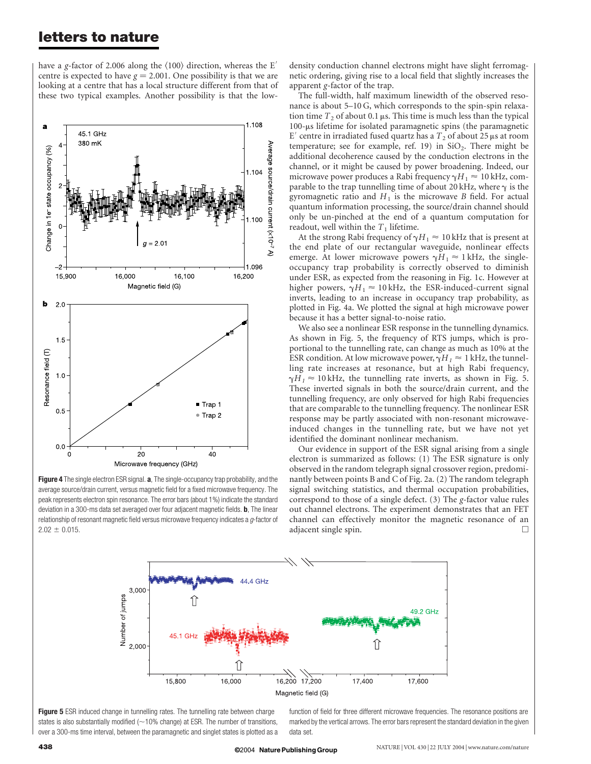## letters to nature

have a g-factor of 2.006 along the  $\langle 100 \rangle$  direction, whereas the E<sup>'</sup> centre is expected to have  $g = 2.001$ . One possibility is that we are looking at a centre that has a local structure different from that of these two typical examples. Another possibility is that the low-

Figure 4 The single electron ESR signal. a, The single-occupancy trap probability, and the average source/drain current, versus magnetic field for a fixed microwave frequency. The peak represents electron spin resonance. The error bars (about 1%) indicate the standard deviation in a 300-ms data set averaged over four adjacent magnetic fields. **b**, The linear relationship of resonant magnetic field versus microwave frequency indicates a  $g$ -factor of  $2.02 \pm 0.015$ .

3,000

2,000

Number of jumps

density conduction channel electrons might have slight ferromagnetic ordering, giving rise to a local field that slightly increases the apparent g-factor of the trap.

The full-width, half maximum linewidth of the observed resonance is about 5–10 G, which corresponds to the spin-spin relaxation time  $T_2$  of about 0.1  $\mu$ s. This time is much less than the typical  $100$ - $\mu$ s lifetime for isolated paramagnetic spins (the paramagnetic E' centre in irradiated fused quartz has a  $T_2$  of about 25  $\mu$ s at room temperature; see for example, ref. 19) in  $SiO<sub>2</sub>$ . There might be additional decoherence caused by the conduction electrons in the channel, or it might be caused by power broadening. Indeed, our microwave power produces a Rabi frequency  $\gamma H_1 \approx 10$  kHz, comparable to the trap tunnelling time of about 20 kHz, where  $\gamma$  is the gyromagnetic ratio and  $H_1$  is the microwave B field. For actual quantum information processing, the source/drain channel should only be un-pinched at the end of a quantum computation for readout, well within the  $T_1$  lifetime.

At the strong Rabi frequency of  $\gamma H_1 \approx 10$  kHz that is present at the end plate of our rectangular waveguide, nonlinear effects emerge. At lower microwave powers  $\gamma H_1 \approx 1$  kHz, the singleoccupancy trap probability is correctly observed to diminish under ESR, as expected from the reasoning in Fig. 1c. However at higher powers,  $\gamma H_1 \approx 10 \text{ kHz}$ , the ESR-induced-current signal inverts, leading to an increase in occupancy trap probability, as plotted in Fig. 4a. We plotted the signal at high microwave power because it has a better signal-to-noise ratio.

We also see a nonlinear ESR response in the tunnelling dynamics. As shown in Fig. 5, the frequency of RTS jumps, which is proportional to the tunnelling rate, can change as much as 10% at the ESR condition. At low microwave power,  $\gamma H_1 \approx 1$  kHz, the tunnelling rate increases at resonance, but at high Rabi frequency,  $\gamma H_1 \approx 10 \text{ kHz}$ , the tunnelling rate inverts, as shown in Fig. 5. These inverted signals in both the source/drain current, and the tunnelling frequency, are only observed for high Rabi frequencies that are comparable to the tunnelling frequency. The nonlinear ESR response may be partly associated with non-resonant microwaveinduced changes in the tunnelling rate, but we have not yet identified the dominant nonlinear mechanism.

Our evidence in support of the ESR signal arising from a single electron is summarized as follows: (1) The ESR signature is only observed in the random telegraph signal crossover region, predominantly between points B and C of Fig. 2a. (2) The random telegraph signal switching statistics, and thermal occupation probabilities, correspond to those of a single defect.  $(3)$  The g-factor value rules out channel electrons. The experiment demonstrates that an FET channel can effectively monitor the magnetic resonance of an adjacent single spin.

49.2 GHz



1ì

45 1 GH

15,800

function of field for three different microwave frequencies. The resonance positions are marked by the vertical arrows. The error bars represent the standard deviation in the given data set.

17,600

16,200

 $17,200$ 

17,400

44.4 GHz

ÎÌ

16,000

B